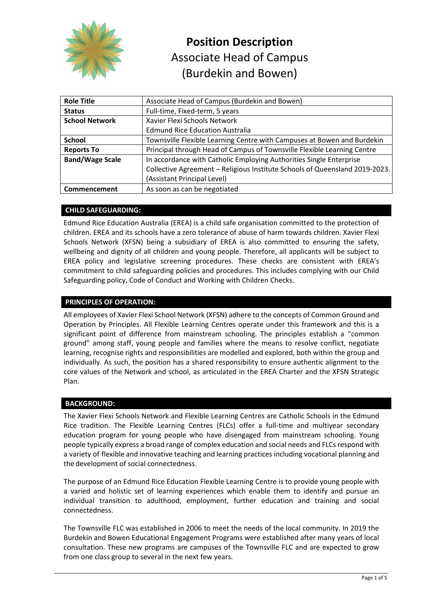

# Associate Head of Campus (Burdekin and Bowen) **Position Description**

| <b>Role Title</b>      | Associate Head of Campus (Burdekin and Bowen)                               |
|------------------------|-----------------------------------------------------------------------------|
| <b>Status</b>          | Full-time, Fixed-term, 5 years                                              |
| <b>School Network</b>  | Xavier Flexi Schools Network                                                |
|                        | <b>Edmund Rice Education Australia</b>                                      |
| <b>School</b>          | Townsville Flexible Learning Centre with Campuses at Bowen and Burdekin     |
| <b>Reports To</b>      | Principal through Head of Campus of Townsville Flexible Learning Centre     |
| <b>Band/Wage Scale</b> | In accordance with Catholic Employing Authorities Single Enterprise         |
|                        | Collective Agreement - Religious Institute Schools of Queensland 2019-2023. |
|                        | (Assistant Principal Level)                                                 |
| Commencement           | As soon as can be negotiated                                                |

# **CHILD SAFEGUARDING:**

Edmund Rice Education Australia (EREA) is a child safe organisation committed to the protection of children. EREA and its schools have a zero tolerance of abuse of harm towards children. Xavier Flexi Schools Network (XFSN) being a subsidiary of EREA is also committed to ensuring the safety, wellbeing and dignity of all children and young people. Therefore, all applicants will be subject to EREA policy and legislative screening procedures. These checks are consistent with EREA's commitment to child safeguarding policies and procedures. This includes complying with our Child Safeguarding policy, Code of Conduct and Working with Children Checks.

# **PRINCIPLES OF OPERATION:**

All employees of Xavier Flexi School Network (XFSN) adhere to the concepts of Common Ground and Operation by Principles. All Flexible Learning Centres operate under this framework and this is a significant point of difference from mainstream schooling. The principles establish a "common ground" among staff, young people and families where the means to resolve conflict, negotiate learning, recognise rights and responsibilities are modelled and explored, both within the group and individually. As such, the position has a shared responsibility to ensure authentic alignment to the core values of the Network and school, as articulated in the EREA Charter and the XFSN Strategic Plan.

#### **BACKGROUND:**

The Xavier Flexi Schools Network and Flexible Learning Centres are Catholic Schools in the Edmund Rice tradition. The Flexible Learning Centres (FLCs) offer a full-time and multiyear secondary education program for young people who have disengaged from mainstream schooling. Young people typically express a broad range of complex education and social needs and FLCs respond with a variety of flexible and innovative teaching and learning practices including vocational planning and the development of social connectedness.

The purpose of an Edmund Rice Education Flexible Learning Centre is to provide young people with a varied and holistic set of learning experiences which enable them to identify and pursue an individual transition to adulthood, employment, further education and training and social connectedness.

The Townsville FLC was established in 2006 to meet the needs of the local community. In 2019 the Burdekin and Bowen Educational Engagement Programs were established after many years of local consultation. These new programs are campuses of the Townsville FLC and are expected to grow from one class group to several in the next few years.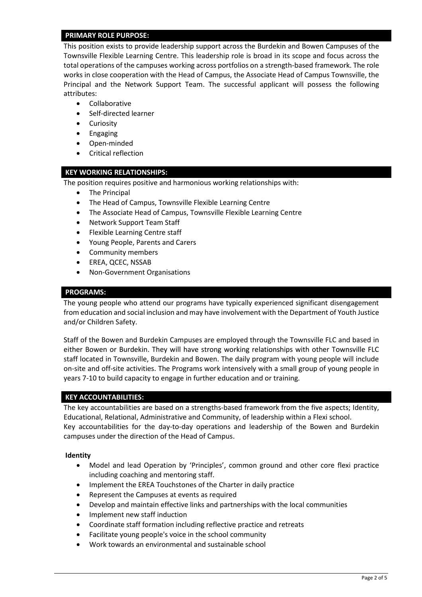## **PRIMARY ROLE PURPOSE:**

This position exists to provide leadership support across the Burdekin and Bowen Campuses of the Townsville Flexible Learning Centre. This leadership role is broad in its scope and focus across the total operations of the campuses working across portfolios on a strength-based framework. The role works in close cooperation with the Head of Campus, the Associate Head of Campus Townsville, the Principal and the Network Support Team. The successful applicant will possess the following attributes:

- Collaborative
- Self-directed learner
- Curiosity
- Engaging
- Open-minded
- Critical reflection

## **KEY WORKING RELATIONSHIPS:**

The position requires positive and harmonious working relationships with:

- The Principal
- The Head of Campus, Townsville Flexible Learning Centre
- The Associate Head of Campus, Townsville Flexible Learning Centre
- Network Support Team Staff
- Flexible Learning Centre staff
- Young People, Parents and Carers
- Community members
- EREA, QCEC, NSSAB
- Non-Government Organisations

#### **PROGRAMS:**

The young people who attend our programs have typically experienced significant disengagement from education and social inclusion and may have involvement with the Department of Youth Justice and/or Children Safety.

Staff of the Bowen and Burdekin Campuses are employed through the Townsville FLC and based in either Bowen or Burdekin. They will have strong working relationships with other Townsville FLC staff located in Townsville, Burdekin and Bowen. The daily program with young people will include on-site and off-site activities. The Programs work intensively with a small group of young people in years 7-10 to build capacity to engage in further education and or training.

#### **KEY ACCOUNTABILITIES:**

The key accountabilities are based on a strengths-based framework from the five aspects; Identity, Educational, Relational, Administrative and Community, of leadership within a Flexi school. Key accountabilities for the day-to-day operations and leadership of the Bowen and Burdekin campuses under the direction of the Head of Campus.

#### **Identity**

- Model and lead Operation by 'Principles', common ground and other core flexi practice including coaching and mentoring staff.
- Implement the EREA Touchstones of the Charter in daily practice
- Represent the Campuses at events as required
- Develop and maintain effective links and partnerships with the local communities
- Implement new staff induction
- Coordinate staff formation including reflective practice and retreats
- Facilitate young people's voice in the school community
- Work towards an environmental and sustainable school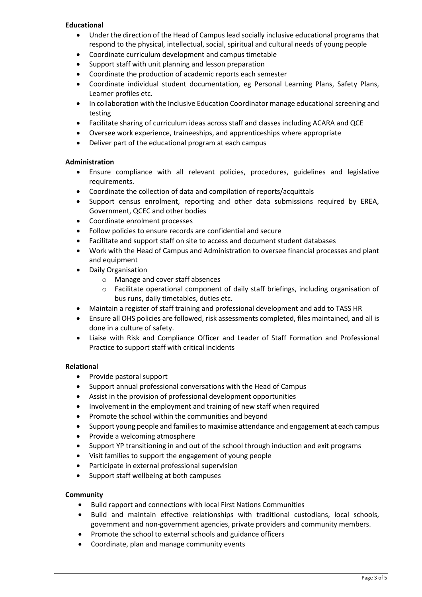# **Educational**

- Under the direction of the Head of Campus lead socially inclusive educational programs that respond to the physical, intellectual, social, spiritual and cultural needs of young people
- Coordinate curriculum development and campus timetable
- Support staff with unit planning and lesson preparation
- Coordinate the production of academic reports each semester
- Coordinate individual student documentation, eg Personal Learning Plans, Safety Plans, Learner profiles etc.
- In collaboration with the Inclusive Education Coordinator manage educational screening and testing
- Facilitate sharing of curriculum ideas across staff and classes including ACARA and QCE
- Oversee work experience, traineeships, and apprenticeships where appropriate
- Deliver part of the educational program at each campus

## **Administration**

- Ensure compliance with all relevant policies, procedures, guidelines and legislative requirements.
- Coordinate the collection of data and compilation of reports/acquittals
- Support census enrolment, reporting and other data submissions required by EREA, Government, QCEC and other bodies
- Coordinate enrolment processes
- Follow policies to ensure records are confidential and secure
- Facilitate and support staff on site to access and document student databases
- Work with the Head of Campus and Administration to oversee financial processes and plant and equipment
- Daily Organisation
	- o Manage and cover staff absences
	- o Facilitate operational component of daily staff briefings, including organisation of bus runs, daily timetables, duties etc.
- Maintain a register of staff training and professional development and add to TASS HR
- Ensure all OHS policies are followed, risk assessments completed, files maintained, and all is done in a culture of safety.
- Liaise with Risk and Compliance Officer and Leader of Staff Formation and Professional Practice to support staff with critical incidents

#### **Relational**

- Provide pastoral support
- Support annual professional conversations with the Head of Campus
- Assist in the provision of professional development opportunities
- Involvement in the employment and training of new staff when required
- Promote the school within the communities and beyond
- Support young people and families to maximise attendance and engagement at each campus
- Provide a welcoming atmosphere
- Support YP transitioning in and out of the school through induction and exit programs
- Visit families to support the engagement of young people
- Participate in external professional supervision
- Support staff wellbeing at both campuses

# **Community**

- Build rapport and connections with local First Nations Communities
- Build and maintain effective relationships with traditional custodians, local schools, government and non-government agencies, private providers and community members.
- Promote the school to external schools and guidance officers
- Coordinate, plan and manage community events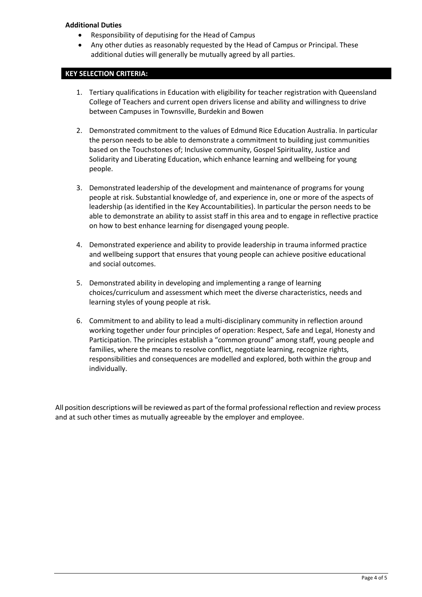# **Additional Duties**

- Responsibility of deputising for the Head of Campus
- Any other duties as reasonably requested by the Head of Campus or Principal. These additional duties will generally be mutually agreed by all parties.

## **KEY SELECTION CRITERIA:**

- 1. Tertiary qualifications in Education with eligibility for teacher registration with Queensland College of Teachers and current open drivers license and ability and willingness to drive between Campuses in Townsville, Burdekin and Bowen
- 2. Demonstrated commitment to the values of Edmund Rice Education Australia. In particular the person needs to be able to demonstrate a commitment to building just communities based on the Touchstones of; Inclusive community, Gospel Spirituality, Justice and Solidarity and Liberating Education, which enhance learning and wellbeing for young people.
- 3. Demonstrated leadership of the development and maintenance of programs for young people at risk. Substantial knowledge of, and experience in, one or more of the aspects of leadership (as identified in the Key Accountabilities). In particular the person needs to be able to demonstrate an ability to assist staff in this area and to engage in reflective practice on how to best enhance learning for disengaged young people.
- 4. Demonstrated experience and ability to provide leadership in trauma informed practice and wellbeing support that ensures that young people can achieve positive educational and social outcomes.
- 5. Demonstrated ability in developing and implementing a range of learning choices/curriculum and assessment which meet the diverse characteristics, needs and learning styles of young people at risk.
- 6. Commitment to and ability to lead a multi-disciplinary community in reflection around working together under four principles of operation: Respect, Safe and Legal, Honesty and Participation. The principles establish a "common ground" among staff, young people and families, where the means to resolve conflict, negotiate learning, recognize rights, responsibilities and consequences are modelled and explored, both within the group and individually.

All position descriptions will be reviewed as part of the formal professional reflection and review process and at such other times as mutually agreeable by the employer and employee.